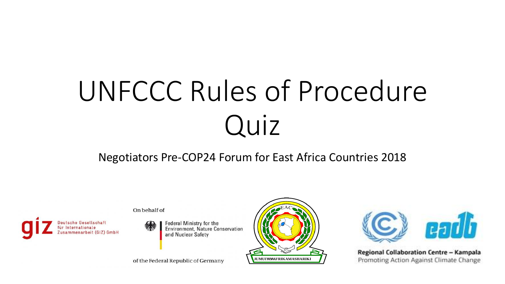# UNFCCC Rules of Procedure Quiz

#### Negotiators Pre-COP24 Forum for East Africa Countries 2018





**Federal Ministry for the** Environment, Nature Conservation and Nuclear Safety

of the Federal Republic of Germany





Regional Collaboration Centre - Kampala Promoting Action Against Climate Change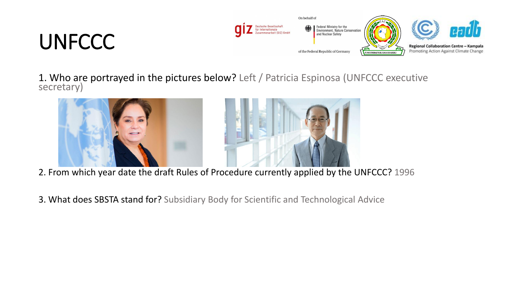# **UNFCCC**



1. Who are portrayed in the pictures below? Left / Patricia Espinosa (UNFCCC executive secretary)





- 2. From which year date the draft Rules of Procedure currently applied by the UNFCCC? 1996
- 3. What does SBSTA stand for? Subsidiary Body for Scientific and Technological Advice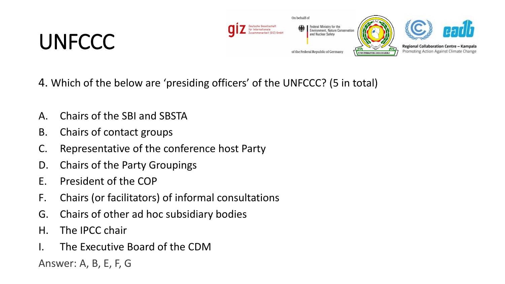### **UNFCCC**



- 4. Which of the below are 'presiding officers' of the UNFCCC? (5 in total)
- A. Chairs of the SBI and SBSTA
- B. Chairs of contact groups
- C. Representative of the conference host Party
- D. Chairs of the Party Groupings
- E. President of the COP
- F. Chairs (or facilitators) of informal consultations
- G. Chairs of other ad hoc subsidiary bodies
- H. The IPCC chair
- I. The Executive Board of the CDM

Answer: A, B, E, F, G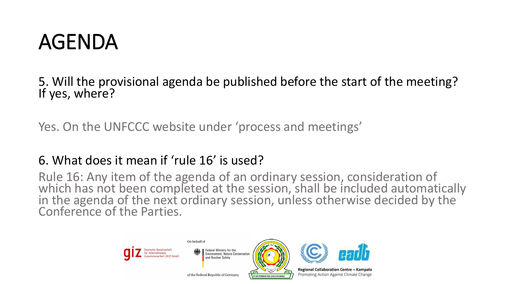### AGENDA

5. Will the provisional agenda be published before the start of the meeting? If yes, where?

Yes. On the UNFCCC website under 'process and meetings'

#### 6. What does it mean if 'rule 16' is used?

Rule 16: Any item of the agenda of an ordinary session, consideration of which has not been completed at the session, shall be included automatically in the agenda of the next ordinary session, unless otherwise decided by the Conference of the Parties.

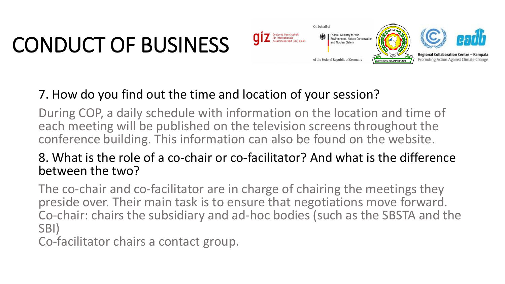

### 7. How do you find out the time and location of your session?

During COP, a daily schedule with information on the location and time of each meeting will be published on the television screens throughout the conference building. This information can also be found on the website.

### 8. What is the role of a co-chair or co-facilitator? And what is the difference between the two?

The co-chair and co-facilitator are in charge of chairing the meetings they preside over. Their main task is to ensure that negotiations move forward. Co-chair: chairs the subsidiary and ad-hoc bodies (such as the SBSTA and the SBI)

Co-facilitator chairs a contact group.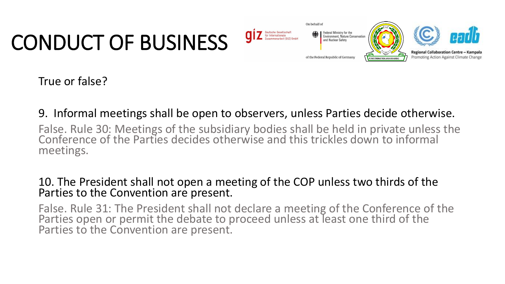

True or false?

#### 9. Informal meetings shall be open to observers, unless Parties decide otherwise.

False. Rule 30: Meetings of the subsidiary bodies shall be held in private unless the Conference of the Parties decides otherwise and this trickles down to informal meetings.

#### 10. The President shall not open a meeting of the COP unless two thirds of the Parties to the Convention are present.

False. Rule 31: The President shall not declare a meeting of the Conference of the Parties open or permit the debate to proceed unless at least one third of the Parties to the Convention are present.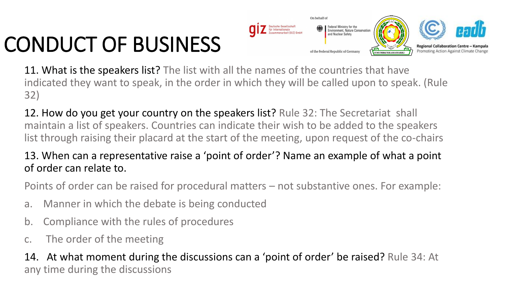

11. What is the speakers list? The list with all the names of the countries that have indicated they want to speak, in the order in which they will be called upon to speak. (Rule 32)

12. How do you get your country on the speakers list? Rule 32: The Secretariat shall maintain a list of speakers. Countries can indicate their wish to be added to the speakers list through raising their placard at the start of the meeting, upon request of the co-chairs

#### 13. When can a representative raise a 'point of order'? Name an example of what a point of order can relate to.

Points of order can be raised for procedural matters – not substantive ones. For example:

- a. Manner in which the debate is being conducted
- b. Compliance with the rules of procedures
- c. The order of the meeting

14. At what moment during the discussions can a 'point of order' be raised? Rule 34: At any time during the discussions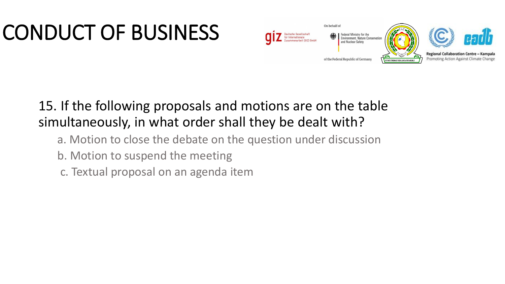

### 15. If the following proposals and motions are on the table simultaneously, in what order shall they be dealt with?

- a. Motion to close the debate on the question under discussion
- b. Motion to suspend the meeting
- c. Textual proposal on an agenda item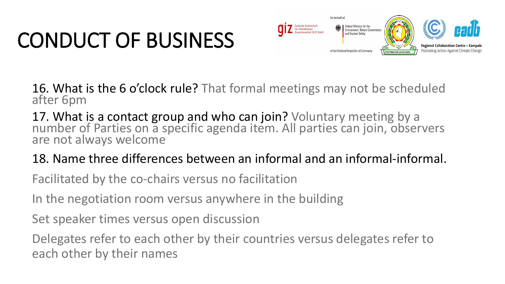

16. What is the 6 o'clock rule? That formal meetings may not be scheduled after 6pm

17. What is a contact group and who can join? Voluntary meeting by a number of Parties on a specific agenda item. All parties can join, observers are not always welcome

18. Name three differences between an informal and an informal-informal.

Facilitated by the co-chairs versus no facilitation

In the negotiation room versus anywhere in the building

Set speaker times versus open discussion

Delegates refer to each other by their countries versus delegates refer to each other by their names